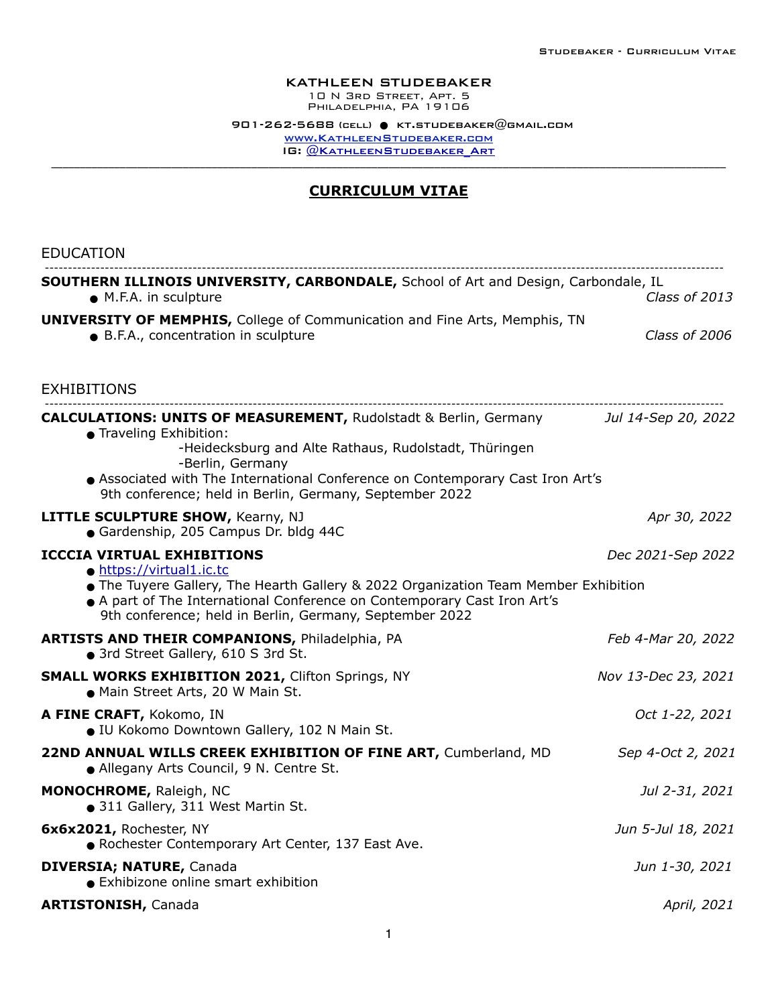## KATHLEEN STUDEBAKER

10 N 3rd Street, Apt. 5 PHILADELPHIA, PA<sup>'</sup>19106

 $901 - 262 - 5688$  (cell)  $\bullet$  [kt.studebaker@gmail.com](mailto:kt.studebaker@gmail.com) [www.KathleenStudebaker.com](http://www.KathleenStudebaker.com) IG: @KATHLEENSTUDEBAKER\_ART

## **CURRICULUM VITAE**

| <b>EDUCATION</b>                                                                                                                                                                                                                                                                                                               |                     |
|--------------------------------------------------------------------------------------------------------------------------------------------------------------------------------------------------------------------------------------------------------------------------------------------------------------------------------|---------------------|
| <b>SOUTHERN ILLINOIS UNIVERSITY, CARBONDALE, School of Art and Design, Carbondale, IL</b><br>• M.F.A. in sculpture                                                                                                                                                                                                             | Class of 2013       |
| <b>UNIVERSITY OF MEMPHIS, College of Communication and Fine Arts, Memphis, TN</b><br>• B.F.A., concentration in sculpture                                                                                                                                                                                                      | Class of 2006       |
| <b>EXHIBITIONS</b>                                                                                                                                                                                                                                                                                                             |                     |
| <b>CALCULATIONS: UNITS OF MEASUREMENT, Rudolstadt &amp; Berlin, Germany</b><br>• Traveling Exhibition:<br>-Heidecksburg and Alte Rathaus, Rudolstadt, Thüringen<br>-Berlin, Germany<br>Associated with The International Conference on Contemporary Cast Iron Art's<br>9th conference; held in Berlin, Germany, September 2022 | Jul 14-Sep 20, 2022 |
| <b>LITTLE SCULPTURE SHOW, Kearny, NJ</b><br>Gardenship, 205 Campus Dr. bldg 44C                                                                                                                                                                                                                                                | Apr 30, 2022        |
| <b>ICCCIA VIRTUAL EXHIBITIONS</b><br>· https://virtual1.ic.tc<br>The Tuyere Gallery, The Hearth Gallery & 2022 Organization Team Member Exhibition<br>A part of The International Conference on Contemporary Cast Iron Art's<br>9th conference; held in Berlin, Germany, September 2022                                        | Dec 2021-Sep 2022   |
| <b>ARTISTS AND THEIR COMPANIONS, Philadelphia, PA</b><br>• 3rd Street Gallery, 610 S 3rd St.                                                                                                                                                                                                                                   | Feb 4-Mar 20, 2022  |
| <b>SMALL WORKS EXHIBITION 2021, Clifton Springs, NY</b><br>• Main Street Arts, 20 W Main St.                                                                                                                                                                                                                                   | Nov 13-Dec 23, 2021 |
| A FINE CRAFT, Kokomo, IN<br>· IU Kokomo Downtown Gallery, 102 N Main St.                                                                                                                                                                                                                                                       | Oct 1-22, 2021      |
| 22ND ANNUAL WILLS CREEK EXHIBITION OF FINE ART, Cumberland, MD<br>• Allegany Arts Council, 9 N. Centre St.                                                                                                                                                                                                                     | Sep 4-Oct 2, 2021   |
| <b>MONOCHROME, Raleigh, NC</b><br>• 311 Gallery, 311 West Martin St.                                                                                                                                                                                                                                                           | Jul 2-31, 2021      |
| 6x6x2021, Rochester, NY<br>. Rochester Contemporary Art Center, 137 East Ave.                                                                                                                                                                                                                                                  | Jun 5-Jul 18, 2021  |
| <b>DIVERSIA; NATURE, Canada</b><br>• Exhibizone online smart exhibition                                                                                                                                                                                                                                                        | Jun 1-30, 2021      |
| <b>ARTISTONISH, Canada</b>                                                                                                                                                                                                                                                                                                     | April, 2021         |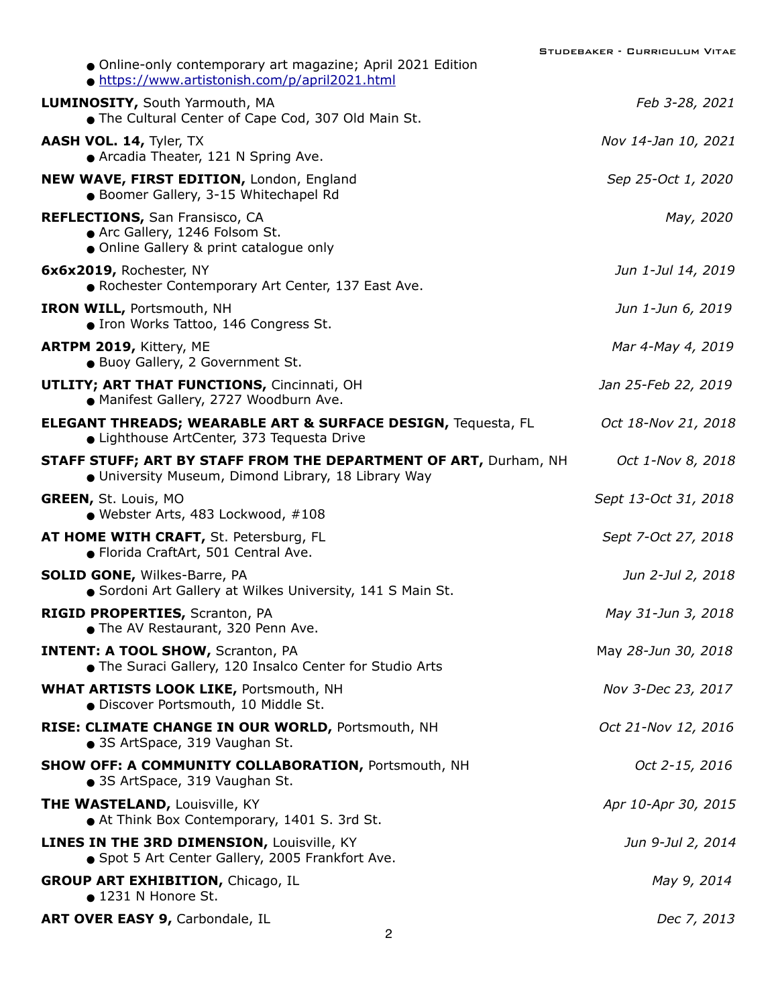| • Online-only contemporary art magazine; April 2021 Edition<br>· https://www.artistonish.com/p/april2021.html                  | UDEBARER – GORRIGOLOM VIIAE |
|--------------------------------------------------------------------------------------------------------------------------------|-----------------------------|
| <b>LUMINOSITY, South Yarmouth, MA</b><br>• The Cultural Center of Cape Cod, 307 Old Main St.                                   | Feb 3-28, 2021              |
| AASH VOL. 14, Tyler, TX<br>• Arcadia Theater, 121 N Spring Ave.                                                                | Nov 14-Jan 10, 2021         |
| NEW WAVE, FIRST EDITION, London, England<br>· Boomer Gallery, 3-15 Whitechapel Rd                                              | Sep 25-Oct 1, 2020          |
| <b>REFLECTIONS, San Fransisco, CA</b><br>Arc Gallery, 1246 Folsom St.<br>• Online Gallery & print catalogue only               | May, 2020                   |
| 6x6x2019, Rochester, NY<br>• Rochester Contemporary Art Center, 137 East Ave.                                                  | Jun 1-Jul 14, 2019          |
| <b>IRON WILL, Portsmouth, NH</b><br>• Iron Works Tattoo, 146 Congress St.                                                      | Jun 1-Jun 6, 2019           |
| ARTPM 2019, Kittery, ME<br>· Buoy Gallery, 2 Government St.                                                                    | Mar 4-May 4, 2019           |
| <b>UTLITY; ART THAT FUNCTIONS, Cincinnati, OH</b><br>· Manifest Gallery, 2727 Woodburn Ave.                                    | Jan 25-Feb 22, 2019         |
| <b>ELEGANT THREADS; WEARABLE ART &amp; SURFACE DESIGN, Tequesta, FL</b><br>• Lighthouse ArtCenter, 373 Tequesta Drive          | Oct 18-Nov 21, 2018         |
| <b>STAFF STUFF; ART BY STAFF FROM THE DEPARTMENT OF ART, Durham, NH</b><br>. University Museum, Dimond Library, 18 Library Way | Oct 1-Nov 8, 2018           |
| <b>GREEN, St. Louis, MO</b><br>$\bullet$ Webster Arts, 483 Lockwood, #108                                                      | Sept 13-Oct 31, 2018        |
| AT HOME WITH CRAFT, St. Petersburg, FL<br>● Florida CraftArt, 501 Central Ave.                                                 | Sept 7-Oct 27, 2018         |
| <b>SOLID GONE, Wilkes-Barre, PA</b><br>Sordoni Art Gallery at Wilkes University, 141 S Main St.                                | Jun 2-Jul 2, 2018           |
| RIGID PROPERTIES, Scranton, PA<br>• The AV Restaurant, 320 Penn Ave.                                                           | May 31-Jun 3, 2018          |
| <b>INTENT: A TOOL SHOW, Scranton, PA</b><br>• The Suraci Gallery, 120 Insalco Center for Studio Arts                           | May 28-Jun 30, 2018         |
| <b>WHAT ARTISTS LOOK LIKE, Portsmouth, NH</b><br>· Discover Portsmouth, 10 Middle St.                                          | Nov 3-Dec 23, 2017          |
| RISE: CLIMATE CHANGE IN OUR WORLD, Portsmouth, NH<br>• 3S ArtSpace, 319 Vaughan St.                                            | Oct 21-Nov 12, 2016         |
| <b>SHOW OFF: A COMMUNITY COLLABORATION, Portsmouth, NH</b><br>• 3S ArtSpace, 319 Vaughan St.                                   | Oct 2-15, 2016              |
| <b>THE WASTELAND, Louisville, KY</b><br>At Think Box Contemporary, 1401 S. 3rd St.                                             | Apr 10-Apr 30, 2015         |
| <b>LINES IN THE 3RD DIMENSION, Louisville, KY</b><br>• Spot 5 Art Center Gallery, 2005 Frankfort Ave.                          | Jun 9-Jul 2, 2014           |
| <b>GROUP ART EXHIBITION, Chicago, IL</b><br>$\bullet$ 1231 N Honore St.                                                        | May 9, 2014                 |
| ART OVER EASY 9, Carbondale, IL                                                                                                | Dec 7, 2013                 |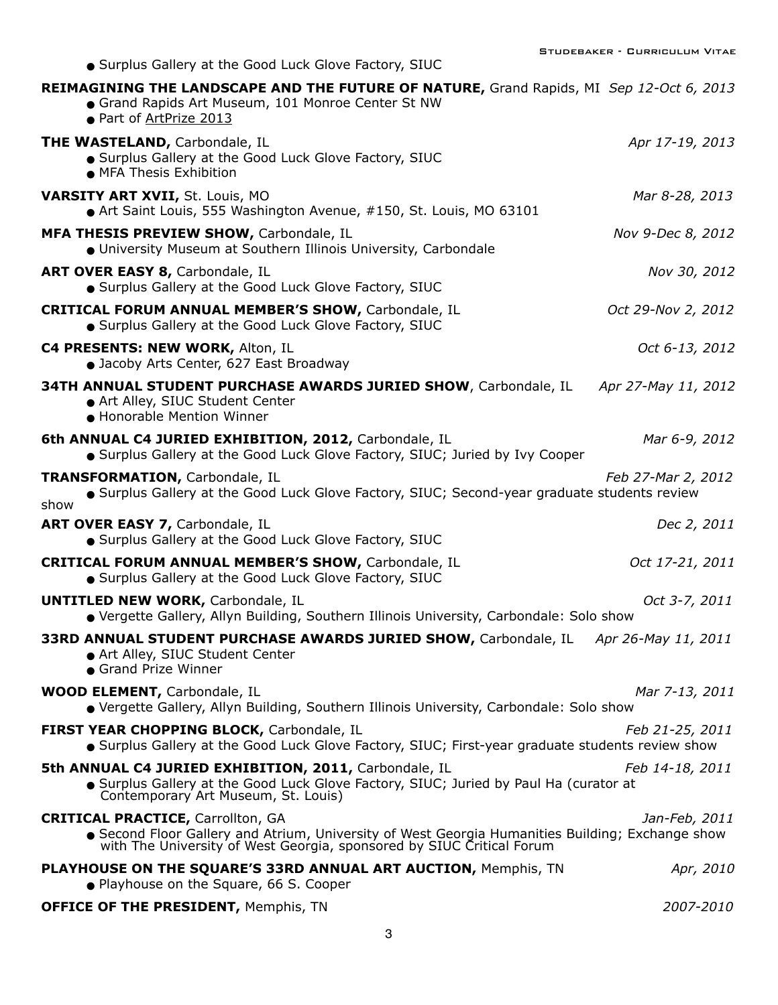| • Surplus Gallery at the Good Luck Glove Factory, SIUC                                                                                                                                                              |                     |
|---------------------------------------------------------------------------------------------------------------------------------------------------------------------------------------------------------------------|---------------------|
| REIMAGINING THE LANDSCAPE AND THE FUTURE OF NATURE, Grand Rapids, MI Sep 12-Oct 6, 2013<br>• Grand Rapids Art Museum, 101 Monroe Center St NW<br>● Part of ArtPrize 2013                                            |                     |
| <b>THE WASTELAND, Carbondale, IL</b><br>• Surplus Gallery at the Good Luck Glove Factory, SIUC<br>• MFA Thesis Exhibition                                                                                           | Apr 17-19, 2013     |
| <b>VARSITY ART XVII, St. Louis, MO</b><br>Art Saint Louis, 555 Washington Avenue, #150, St. Louis, MO 63101                                                                                                         | Mar 8-28, 2013      |
| MFA THESIS PREVIEW SHOW, Carbondale, IL<br>· University Museum at Southern Illinois University, Carbondale                                                                                                          | Nov 9-Dec 8, 2012   |
| ART OVER EASY 8, Carbondale, IL<br>• Surplus Gallery at the Good Luck Glove Factory, SIUC                                                                                                                           | Nov 30, 2012        |
| <b>CRITICAL FORUM ANNUAL MEMBER'S SHOW, Carbondale, IL</b><br>• Surplus Gallery at the Good Luck Glove Factory, SIUC                                                                                                | Oct 29-Nov 2, 2012  |
| C4 PRESENTS: NEW WORK, Alton, IL<br>• Jacoby Arts Center, 627 East Broadway                                                                                                                                         | Oct 6-13, 2012      |
| <b>34TH ANNUAL STUDENT PURCHASE AWARDS JURIED SHOW, Carbondale, IL</b><br>Art Alley, SIUC Student Center<br>• Honorable Mention Winner                                                                              | Apr 27-May 11, 2012 |
| 6th ANNUAL C4 JURIED EXHIBITION, 2012, Carbondale, IL<br>• Surplus Gallery at the Good Luck Glove Factory, SIUC; Juried by Ivy Cooper                                                                               | Mar 6-9, 2012       |
| <b>TRANSFORMATION, Carbondale, IL</b><br>• Surplus Gallery at the Good Luck Glove Factory, SIUC; Second-year graduate students review<br>show                                                                       | Feb 27-Mar 2, 2012  |
| ART OVER EASY 7, Carbondale, IL<br>• Surplus Gallery at the Good Luck Glove Factory, SIUC                                                                                                                           | Dec 2, 2011         |
| <b>CRITICAL FORUM ANNUAL MEMBER'S SHOW, Carbondale, IL</b><br>• Surplus Gallery at the Good Luck Glove Factory, SIUC                                                                                                | Oct 17-21, 2011     |
| <b>UNTITLED NEW WORK, Carbondale, IL</b><br>· Vergette Gallery, Allyn Building, Southern Illinois University, Carbondale: Solo show                                                                                 | Oct 3-7, 2011       |
| <b>33RD ANNUAL STUDENT PURCHASE AWARDS JURIED SHOW, Carbondale, IL Apr 26-May 11, 2011</b><br>Art Alley, SIUC Student Center<br>• Grand Prize Winner                                                                |                     |
| <b>WOOD ELEMENT, Carbondale, IL</b><br>● Vergette Gallery, Allyn Building, Southern Illinois University, Carbondale: Solo show                                                                                      | Mar 7-13, 2011      |
| FIRST YEAR CHOPPING BLOCK, Carbondale, IL<br>Surplus Gallery at the Good Luck Glove Factory, SIUC; First-year graduate students review show                                                                         | Feb 21-25, 2011     |
| 5th ANNUAL C4 JURIED EXHIBITION, 2011, Carbondale, IL<br>Surplus Gallery at the Good Luck Glove Factory, SIUC; Juried by Paul Ha (curator at<br>Contemporary Art Museum, St. Louis)                                 | Feb 14-18, 2011     |
| <b>CRITICAL PRACTICE, Carrollton, GA</b><br>Second Floor Gallery and Atrium, University of West Georgia Humanities Building; Exchange show<br>with The University of West Georgia, sponsored by SIUC Critical Forum | Jan-Feb, 2011       |
| PLAYHOUSE ON THE SQUARE'S 33RD ANNUAL ART AUCTION, Memphis, TN<br>• Playhouse on the Square, 66 S. Cooper                                                                                                           | Apr, 2010           |
| <b>OFFICE OF THE PRESIDENT, Memphis, TN</b>                                                                                                                                                                         | 2007-2010           |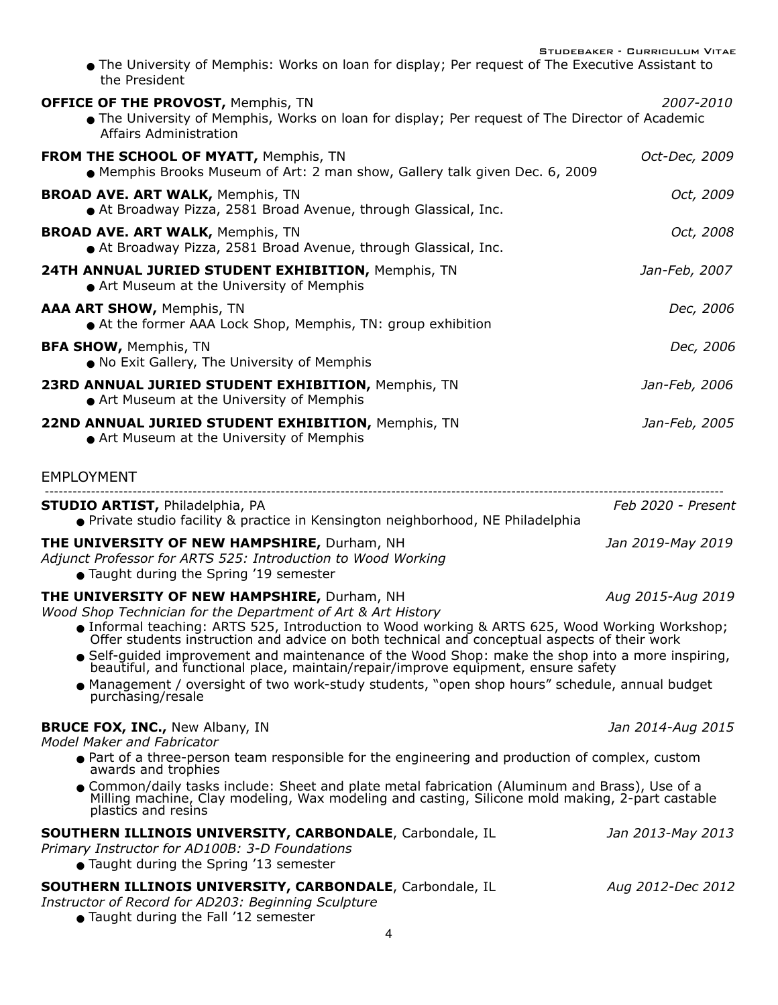Studebaker - Curriculum Vitae

! The University of Memphis: Works on loan for display; Per request of The Executive Assistant to the President

| <b>OFFICE OF THE PROVOST, Memphis, TN</b><br>The University of Memphis, Works on loan for display; Per request of The Director of Academic<br>Affairs Administration                                                                                                                                                                                                                                                                                                                                                        | 2007-2010          |
|-----------------------------------------------------------------------------------------------------------------------------------------------------------------------------------------------------------------------------------------------------------------------------------------------------------------------------------------------------------------------------------------------------------------------------------------------------------------------------------------------------------------------------|--------------------|
| <b>FROM THE SCHOOL OF MYATT, Memphis, TN</b><br>• Memphis Brooks Museum of Art: 2 man show, Gallery talk given Dec. 6, 2009                                                                                                                                                                                                                                                                                                                                                                                                 | Oct-Dec, 2009      |
| <b>BROAD AVE. ART WALK, Memphis, TN</b><br>At Broadway Pizza, 2581 Broad Avenue, through Glassical, Inc.                                                                                                                                                                                                                                                                                                                                                                                                                    | Oct, 2009          |
| <b>BROAD AVE. ART WALK, Memphis, TN</b><br>At Broadway Pizza, 2581 Broad Avenue, through Glassical, Inc.                                                                                                                                                                                                                                                                                                                                                                                                                    | Oct, 2008          |
| 24TH ANNUAL JURIED STUDENT EXHIBITION, Memphis, TN<br>• Art Museum at the University of Memphis                                                                                                                                                                                                                                                                                                                                                                                                                             | Jan-Feb, 2007      |
| AAA ART SHOW, Memphis, TN<br>At the former AAA Lock Shop, Memphis, TN: group exhibition                                                                                                                                                                                                                                                                                                                                                                                                                                     | Dec, 2006          |
| <b>BFA SHOW, Memphis, TN</b><br>. No Exit Gallery, The University of Memphis                                                                                                                                                                                                                                                                                                                                                                                                                                                | Dec, 2006          |
| 23RD ANNUAL JURIED STUDENT EXHIBITION, Memphis, TN<br>• Art Museum at the University of Memphis                                                                                                                                                                                                                                                                                                                                                                                                                             | Jan-Feb, 2006      |
| 22ND ANNUAL JURIED STUDENT EXHIBITION, Memphis, TN<br>Art Museum at the University of Memphis                                                                                                                                                                                                                                                                                                                                                                                                                               | Jan-Feb, 2005      |
| <b>EMPLOYMENT</b>                                                                                                                                                                                                                                                                                                                                                                                                                                                                                                           |                    |
| <b>STUDIO ARTIST, Philadelphia, PA</b><br>● Private studio facility & practice in Kensington neighborhood, NE Philadelphia                                                                                                                                                                                                                                                                                                                                                                                                  | Feb 2020 - Present |
| THE UNIVERSITY OF NEW HAMPSHIRE, Durham, NH<br>Adjunct Professor for ARTS 525: Introduction to Wood Working<br>• Taught during the Spring '19 semester                                                                                                                                                                                                                                                                                                                                                                      | Jan 2019-May 2019  |
| THE UNIVERSITY OF NEW HAMPSHIRE, Durham, NH<br>Aug 2015-Aug 2019<br>Wood Shop Technician for the Department of Art & Art History<br>• Informal teaching: ARTS 525, Introduction to Wood working & ARTS 625, Wood Working Workshop;<br>Offer students instruction and advice on both technical and conceptual aspects of their work<br>● Self-guided improvement and maintenance of the Wood Shop: make the shop into a more inspiring,<br>beautiful, and functional place, maintain/repair/improve equipment, ensure safety |                    |
| • Management / oversight of two work-study students, "open shop hours" schedule, annual budget<br>purchasing/resale                                                                                                                                                                                                                                                                                                                                                                                                         |                    |
| <b>BRUCE FOX, INC., New Albany, IN</b><br><b>Model Maker and Fabricator</b>                                                                                                                                                                                                                                                                                                                                                                                                                                                 | Jan 2014-Aug 2015  |
| ● Part of a three-person team responsible for the engineering and production of complex, custom<br>awards and trophies                                                                                                                                                                                                                                                                                                                                                                                                      |                    |
| ● Common/daily tasks include: Sheet and plate metal fabrication (Aluminum and Brass), Use of a<br>Milling machine, Clay modeling, Wax modeling and casting, Silicone mold making, 2-part castable<br>plastics and resins                                                                                                                                                                                                                                                                                                    |                    |
| <b>SOUTHERN ILLINOIS UNIVERSITY, CARBONDALE, Carbondale, IL</b><br>Primary Instructor for AD100B: 3-D Foundations<br>• Taught during the Spring '13 semester                                                                                                                                                                                                                                                                                                                                                                | Jan 2013-May 2013  |
| <b>SOUTHERN ILLINOIS UNIVERSITY, CARBONDALE, Carbondale, IL</b><br>Instructor of Record for AD203: Beginning Sculpture<br>• Taught during the Fall '12 semester                                                                                                                                                                                                                                                                                                                                                             | Aug 2012-Dec 2012  |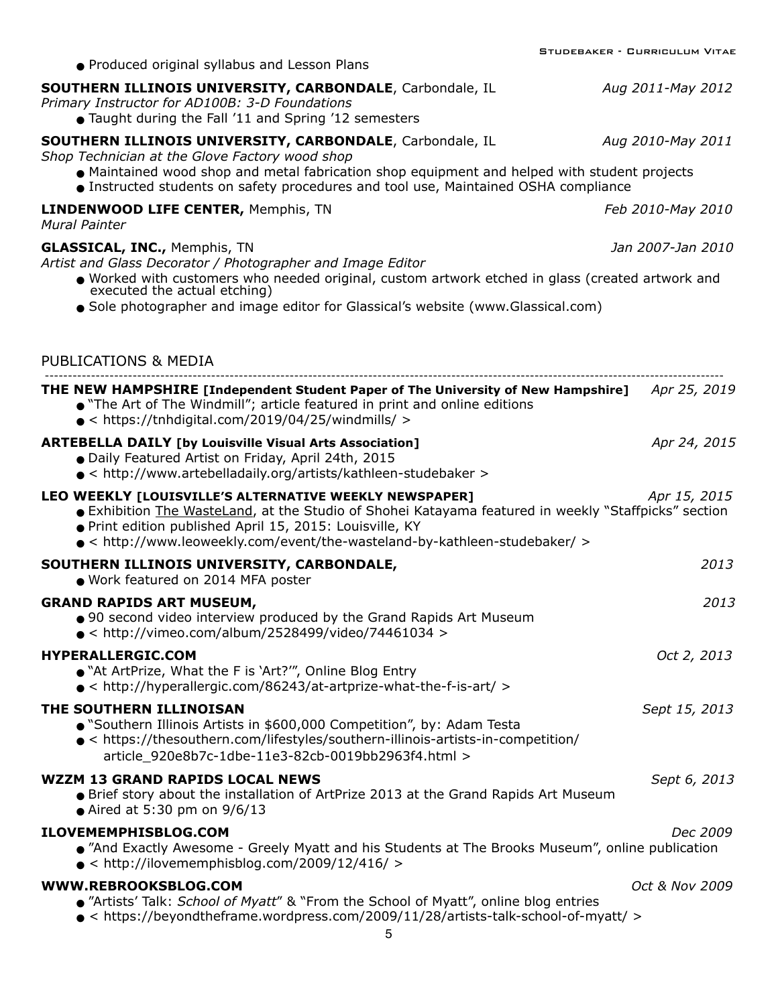|                                                                                                                                                                                                                                                                                                          | STUDEBAKER - CURRICULUM VITAE |
|----------------------------------------------------------------------------------------------------------------------------------------------------------------------------------------------------------------------------------------------------------------------------------------------------------|-------------------------------|
| • Produced original syllabus and Lesson Plans                                                                                                                                                                                                                                                            |                               |
| <b>SOUTHERN ILLINOIS UNIVERSITY, CARBONDALE, Carbondale, IL</b><br>Primary Instructor for AD100B: 3-D Foundations<br>• Taught during the Fall '11 and Spring '12 semesters                                                                                                                               | Aug 2011-May 2012             |
| <b>SOUTHERN ILLINOIS UNIVERSITY, CARBONDALE, Carbondale, IL</b><br>Shop Technician at the Glove Factory wood shop                                                                                                                                                                                        | Aug 2010-May 2011             |
| • Maintained wood shop and metal fabrication shop equipment and helped with student projects<br>Instructed students on safety procedures and tool use, Maintained OSHA compliance                                                                                                                        |                               |
| LINDENWOOD LIFE CENTER, Memphis, TN<br><b>Mural Painter</b>                                                                                                                                                                                                                                              | Feb 2010-May 2010             |
| <b>GLASSICAL, INC., Memphis, TN</b><br>Artist and Glass Decorator / Photographer and Image Editor                                                                                                                                                                                                        | Jan 2007-Jan 2010             |
| . Worked with customers who needed original, custom artwork etched in glass (created artwork and<br>executed the actual etching)                                                                                                                                                                         |                               |
| ● Sole photographer and image editor for Glassical's website (www.Glassical.com)                                                                                                                                                                                                                         |                               |
| PUBLICATIONS & MEDIA                                                                                                                                                                                                                                                                                     |                               |
| <b>THE NEW HAMPSHIRE [Independent Student Paper of The University of New Hampshire]</b> Apr 25, 2019<br>• "The Art of The Windmill"; article featured in print and online editions<br>$\bullet$ < https://tnhdigital.com/2019/04/25/windmills/ >                                                         |                               |
| <b>ARTEBELLA DAILY [by Louisville Visual Arts Association]</b><br>● Daily Featured Artist on Friday, April 24th, 2015<br>$\bullet$ < http://www.artebelladaily.org/artists/kathleen-studebaker >                                                                                                         | Apr 24, 2015                  |
| LEO WEEKLY [LOUISVILLE'S ALTERNATIVE WEEKLY NEWSPAPER]<br>• Exhibition The WasteLand, at the Studio of Shohei Katayama featured in weekly "Staffpicks" section<br>. Print edition published April 15, 2015: Louisville, KY<br>● < http://www.leoweekly.com/event/the-wasteland-by-kathleen-studebaker/ > | Apr 15, 2015                  |
| SOUTHERN ILLINOIS UNIVERSITY, CARBONDALE,<br>· Work featured on 2014 MFA poster                                                                                                                                                                                                                          | 2013                          |
| <b>GRAND RAPIDS ART MUSEUM,</b><br>● 90 second video interview produced by the Grand Rapids Art Museum<br>$\bullet$ < http://vimeo.com/album/2528499/video/74461034 >                                                                                                                                    | 2013                          |
| HYPERALLERGIC.COM<br>• "At ArtPrize, What the F is 'Art?", Online Blog Entry<br>$\bullet$ < http://hyperallergic.com/86243/at-artprize-what-the-f-is-art/ >                                                                                                                                              | Oct 2, 2013                   |
| THE SOUTHERN ILLINOISAN<br>• "Southern Illinois Artists in \$600,000 Competition", by: Adam Testa<br>• < https://thesouthern.com/lifestyles/southern-illinois-artists-in-competition/<br>article 920e8b7c-1dbe-11e3-82cb-0019bb2963f4.html >                                                             | Sept 15, 2013                 |
| <b>WZZM 13 GRAND RAPIDS LOCAL NEWS</b><br>• Brief story about the installation of ArtPrize 2013 at the Grand Rapids Art Museum<br>• Aired at 5:30 pm on $9/6/13$                                                                                                                                         | Sept 6, 2013                  |
| ILOVEMEMPHISBLOG.COM<br>● "And Exactly Awesome - Greely Myatt and his Students at The Brooks Museum", online publication<br>$\bullet$ < http://ilovememphisblog.com/2009/12/416/ >                                                                                                                       | Dec 2009                      |
| WWW.REBROOKSBLOG.COM<br>● "Artists' Talk: School of Myatt" & "From the School of Myatt", online blog entries<br>$\bullet$ < https://beyondtheframe.wordpress.com/2009/11/28/artists-talk-school-of-myatt/ ><br>5                                                                                         | Oct & Nov 2009                |